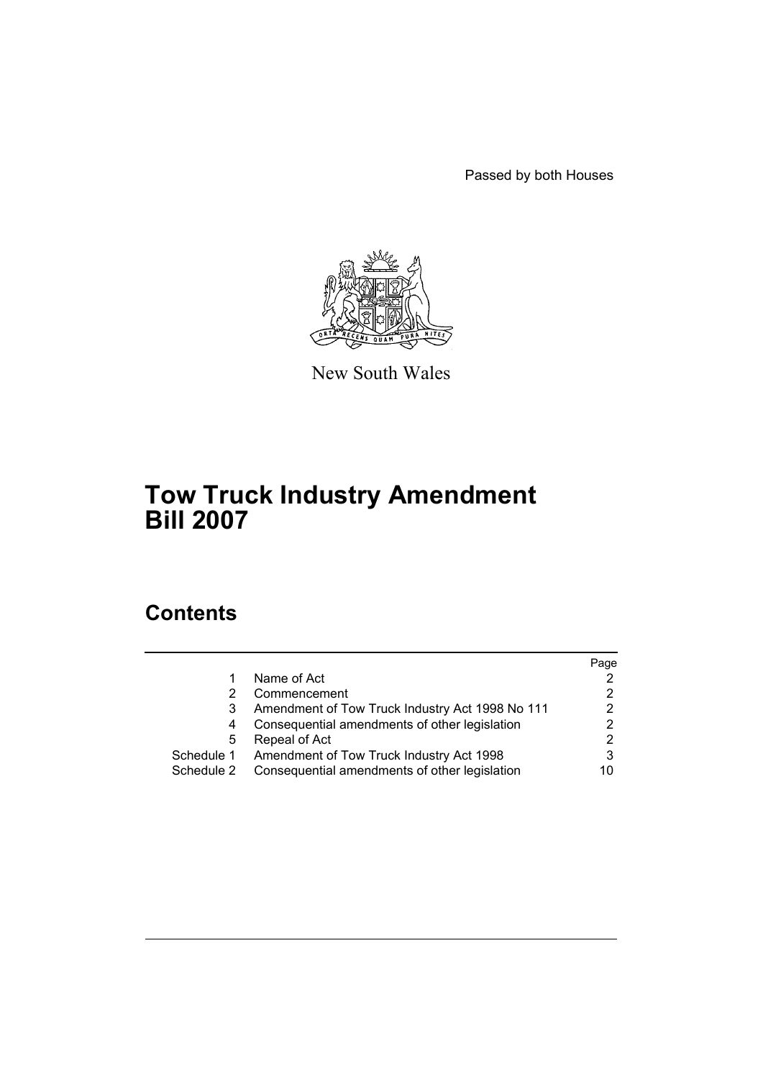Passed by both Houses



New South Wales

# **Tow Truck Industry Amendment Bill 2007**

# **Contents**

|            |                                                     | Page |
|------------|-----------------------------------------------------|------|
|            | Name of Act                                         |      |
|            | Commencement                                        |      |
|            | Amendment of Tow Truck Industry Act 1998 No 111     | 2    |
| 4          | Consequential amendments of other legislation       |      |
| 5          | Repeal of Act                                       | 2    |
|            | Schedule 1 Amendment of Tow Truck Industry Act 1998 |      |
| Schedule 2 | Consequential amendments of other legislation       | 10   |
|            |                                                     |      |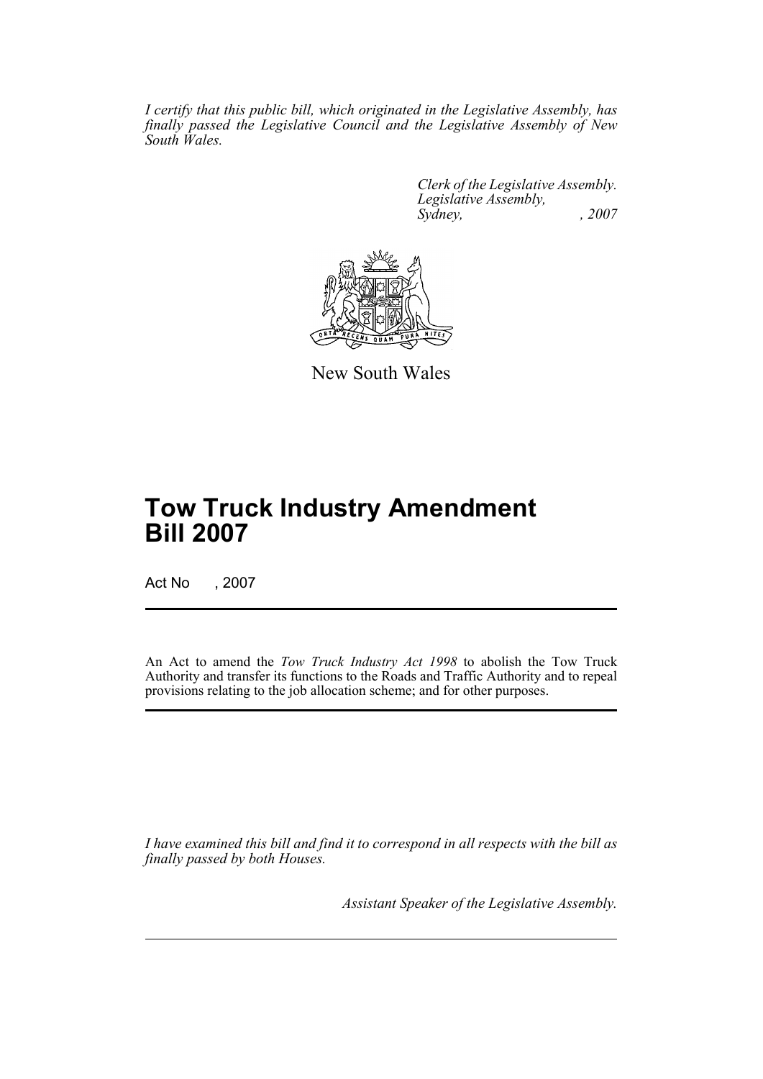*I certify that this public bill, which originated in the Legislative Assembly, has finally passed the Legislative Council and the Legislative Assembly of New South Wales.*

> *Clerk of the Legislative Assembly. Legislative Assembly, Sydney, , 2007*



New South Wales

# **Tow Truck Industry Amendment Bill 2007**

Act No , 2007

An Act to amend the *Tow Truck Industry Act 1998* to abolish the Tow Truck Authority and transfer its functions to the Roads and Traffic Authority and to repeal provisions relating to the job allocation scheme; and for other purposes.

*I have examined this bill and find it to correspond in all respects with the bill as finally passed by both Houses.*

*Assistant Speaker of the Legislative Assembly.*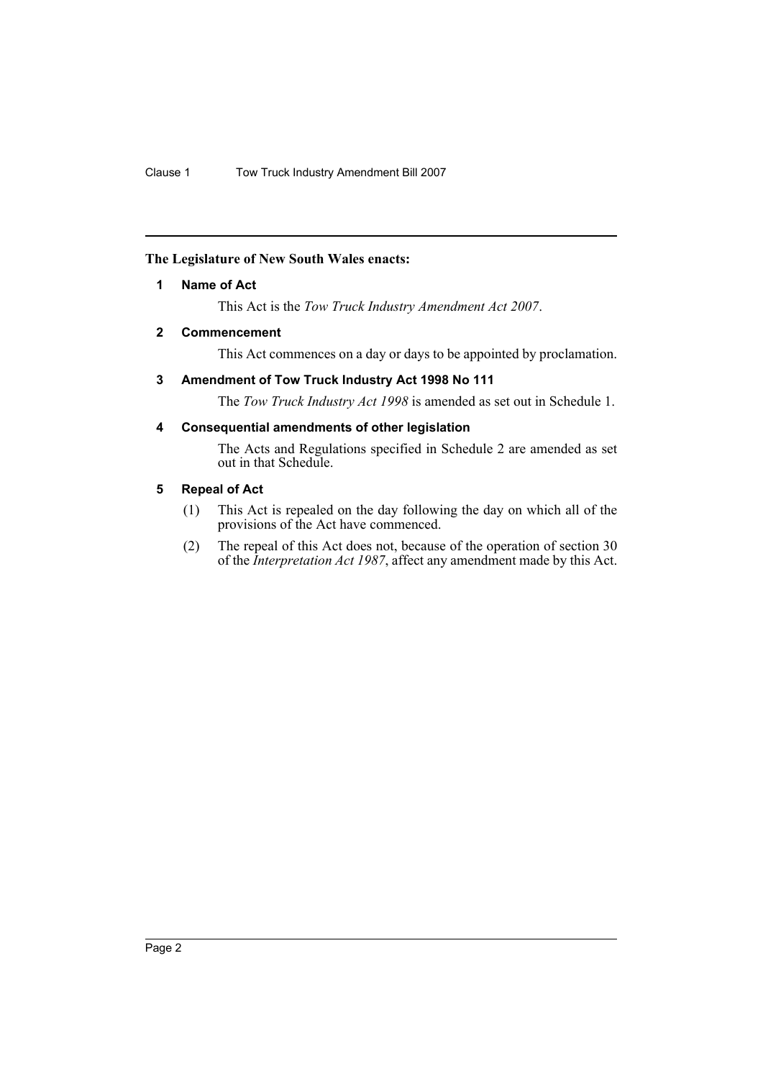## <span id="page-2-0"></span>**The Legislature of New South Wales enacts:**

# **1 Name of Act**

This Act is the *Tow Truck Industry Amendment Act 2007*.

# <span id="page-2-1"></span>**2 Commencement**

This Act commences on a day or days to be appointed by proclamation.

# <span id="page-2-2"></span>**3 Amendment of Tow Truck Industry Act 1998 No 111**

The *Tow Truck Industry Act 1998* is amended as set out in Schedule 1.

# <span id="page-2-3"></span>**4 Consequential amendments of other legislation**

The Acts and Regulations specified in Schedule 2 are amended as set out in that Schedule.

# <span id="page-2-4"></span>**5 Repeal of Act**

- (1) This Act is repealed on the day following the day on which all of the provisions of the Act have commenced.
- (2) The repeal of this Act does not, because of the operation of section 30 of the *Interpretation Act 1987*, affect any amendment made by this Act.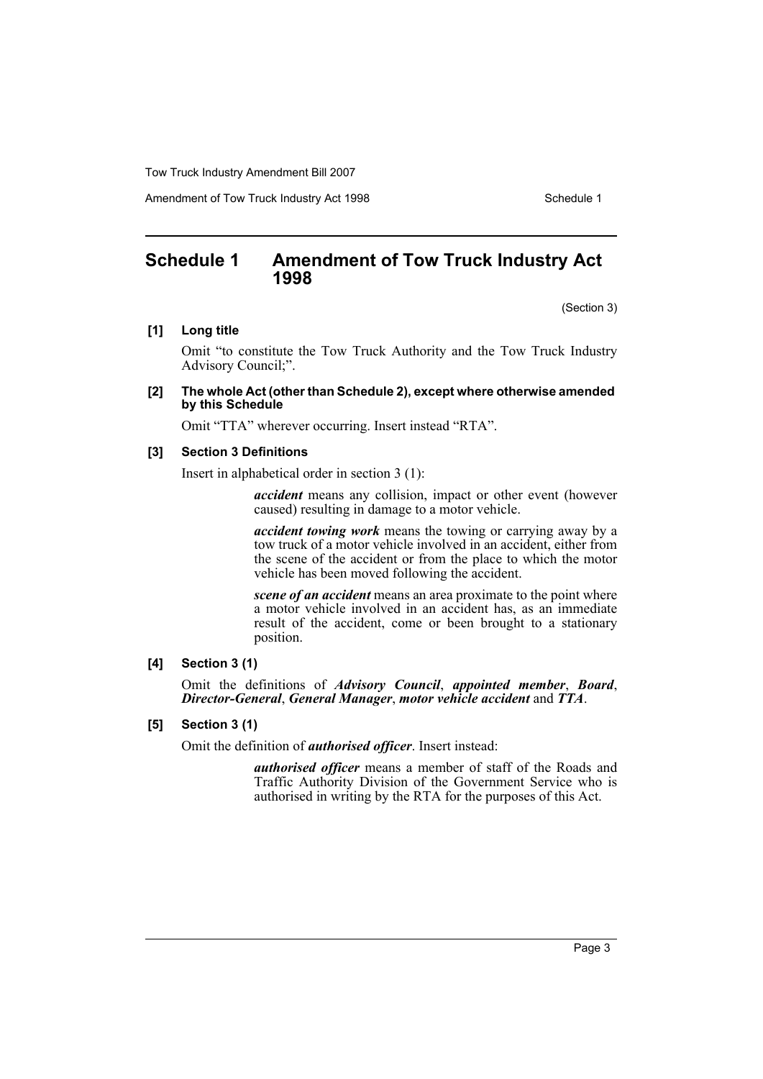Amendment of Tow Truck Industry Act 1998 Schedule 1

# <span id="page-3-0"></span>**Schedule 1 Amendment of Tow Truck Industry Act 1998**

(Section 3)

## **[1] Long title**

Omit "to constitute the Tow Truck Authority and the Tow Truck Industry Advisory Council;".

#### **[2] The whole Act (other than Schedule 2), except where otherwise amended by this Schedule**

Omit "TTA" wherever occurring. Insert instead "RTA".

#### **[3] Section 3 Definitions**

Insert in alphabetical order in section 3 (1):

*accident* means any collision, impact or other event (however caused) resulting in damage to a motor vehicle.

*accident towing work* means the towing or carrying away by a tow truck of a motor vehicle involved in an accident, either from the scene of the accident or from the place to which the motor vehicle has been moved following the accident.

*scene of an accident* means an area proximate to the point where a motor vehicle involved in an accident has, as an immediate result of the accident, come or been brought to a stationary position.

#### **[4] Section 3 (1)**

Omit the definitions of *Advisory Council*, *appointed member*, *Board*, *Director-General*, *General Manager*, *motor vehicle accident* and *TTA*.

### **[5] Section 3 (1)**

Omit the definition of *authorised officer*. Insert instead:

*authorised officer* means a member of staff of the Roads and Traffic Authority Division of the Government Service who is authorised in writing by the RTA for the purposes of this Act.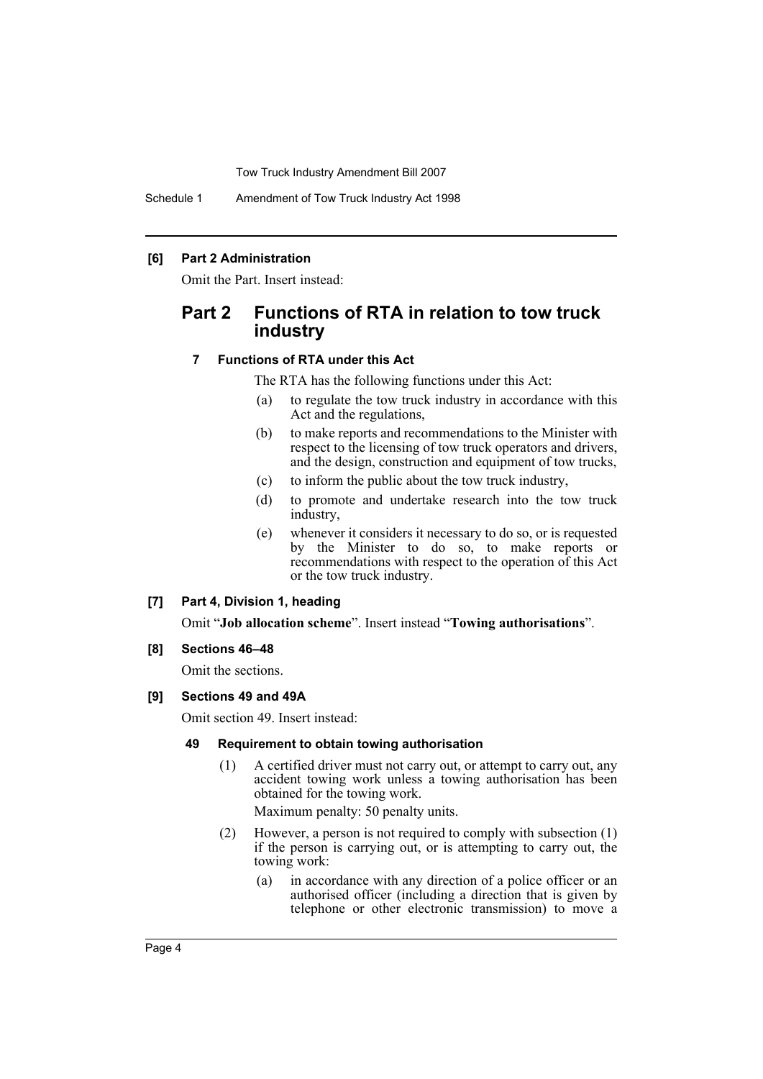Schedule 1 Amendment of Tow Truck Industry Act 1998

#### **[6] Part 2 Administration**

Omit the Part. Insert instead:

# **Part 2 Functions of RTA in relation to tow truck industry**

#### **7 Functions of RTA under this Act**

The RTA has the following functions under this Act:

- (a) to regulate the tow truck industry in accordance with this Act and the regulations,
- (b) to make reports and recommendations to the Minister with respect to the licensing of tow truck operators and drivers, and the design, construction and equipment of tow trucks,
- (c) to inform the public about the tow truck industry,
- (d) to promote and undertake research into the tow truck industry,
- (e) whenever it considers it necessary to do so, or is requested by the Minister to do so, to make reports or recommendations with respect to the operation of this Act or the tow truck industry.

#### **[7] Part 4, Division 1, heading**

Omit "**Job allocation scheme**". Insert instead "**Towing authorisations**".

#### **[8] Sections 46–48**

Omit the sections.

#### **[9] Sections 49 and 49A**

Omit section 49. Insert instead:

#### **49 Requirement to obtain towing authorisation**

(1) A certified driver must not carry out, or attempt to carry out, any accident towing work unless a towing authorisation has been obtained for the towing work.

Maximum penalty: 50 penalty units.

- (2) However, a person is not required to comply with subsection (1) if the person is carrying out, or is attempting to carry out, the towing work:
	- (a) in accordance with any direction of a police officer or an authorised officer (including a direction that is given by telephone or other electronic transmission) to move a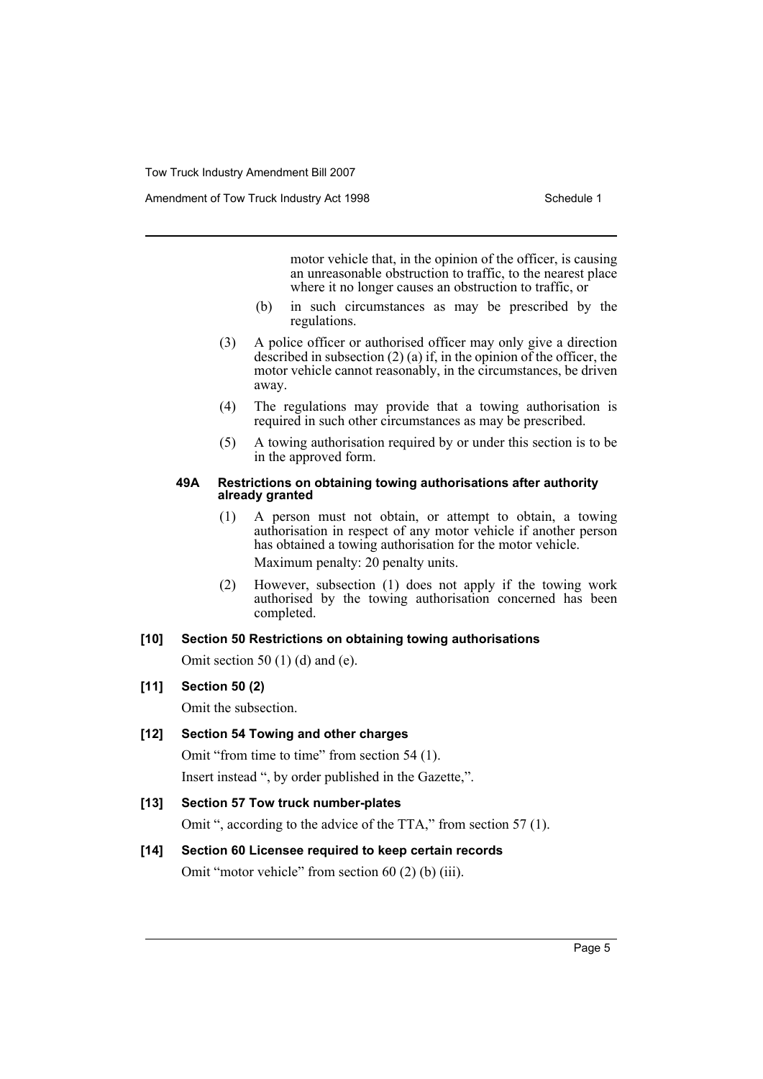motor vehicle that, in the opinion of the officer, is causing an unreasonable obstruction to traffic, to the nearest place where it no longer causes an obstruction to traffic, or

- (b) in such circumstances as may be prescribed by the regulations.
- (3) A police officer or authorised officer may only give a direction described in subsection  $(2)$  (a) if, in the opinion of the officer, the motor vehicle cannot reasonably, in the circumstances, be driven away.
- (4) The regulations may provide that a towing authorisation is required in such other circumstances as may be prescribed.
- (5) A towing authorisation required by or under this section is to be in the approved form.

#### **49A Restrictions on obtaining towing authorisations after authority already granted**

- (1) A person must not obtain, or attempt to obtain, a towing authorisation in respect of any motor vehicle if another person has obtained a towing authorisation for the motor vehicle. Maximum penalty: 20 penalty units.
- (2) However, subsection (1) does not apply if the towing work authorised by the towing authorisation concerned has been completed.

## **[10] Section 50 Restrictions on obtaining towing authorisations**

Omit section 50 (1) (d) and (e).

## **[11] Section 50 (2)**

Omit the subsection.

## **[12] Section 54 Towing and other charges**

Omit "from time to time" from section 54 (1). Insert instead ", by order published in the Gazette,".

# **[13] Section 57 Tow truck number-plates**

Omit ", according to the advice of the TTA," from section 57 (1).

# **[14] Section 60 Licensee required to keep certain records**

Omit "motor vehicle" from section 60 (2) (b) (iii).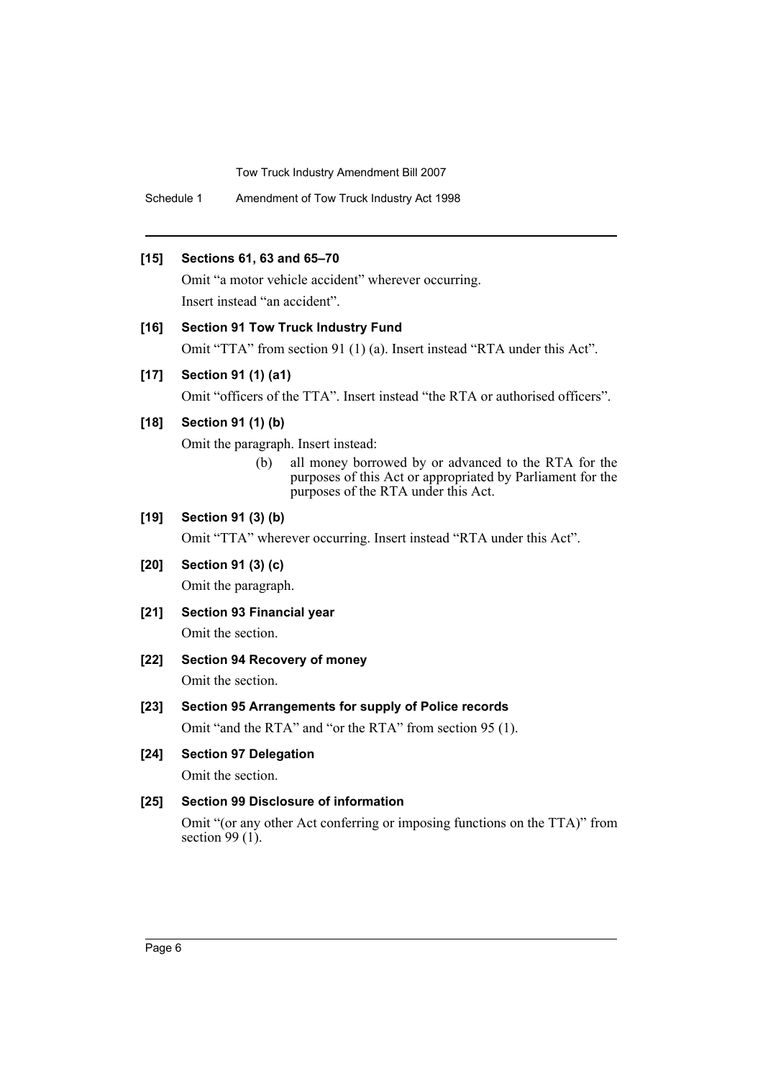Schedule 1 Amendment of Tow Truck Industry Act 1998

## **[15] Sections 61, 63 and 65–70**

Omit "a motor vehicle accident" wherever occurring. Insert instead "an accident".

## **[16] Section 91 Tow Truck Industry Fund**

Omit "TTA" from section 91 (1) (a). Insert instead "RTA under this Act".

## **[17] Section 91 (1) (a1)**

Omit "officers of the TTA". Insert instead "the RTA or authorised officers".

## **[18] Section 91 (1) (b)**

Omit the paragraph. Insert instead:

(b) all money borrowed by or advanced to the RTA for the purposes of this Act or appropriated by Parliament for the purposes of the RTA under this Act.

## **[19] Section 91 (3) (b)**

Omit "TTA" wherever occurring. Insert instead "RTA under this Act".

## **[20] Section 91 (3) (c)**

Omit the paragraph.

**[21] Section 93 Financial year**

Omit the section.

**[22] Section 94 Recovery of money**

Omit the section.

**[23] Section 95 Arrangements for supply of Police records**

Omit "and the RTA" and "or the RTA" from section 95 (1).

# **[24] Section 97 Delegation**

Omit the section.

## **[25] Section 99 Disclosure of information**

Omit "(or any other Act conferring or imposing functions on the TTA)" from section  $99(1)$ .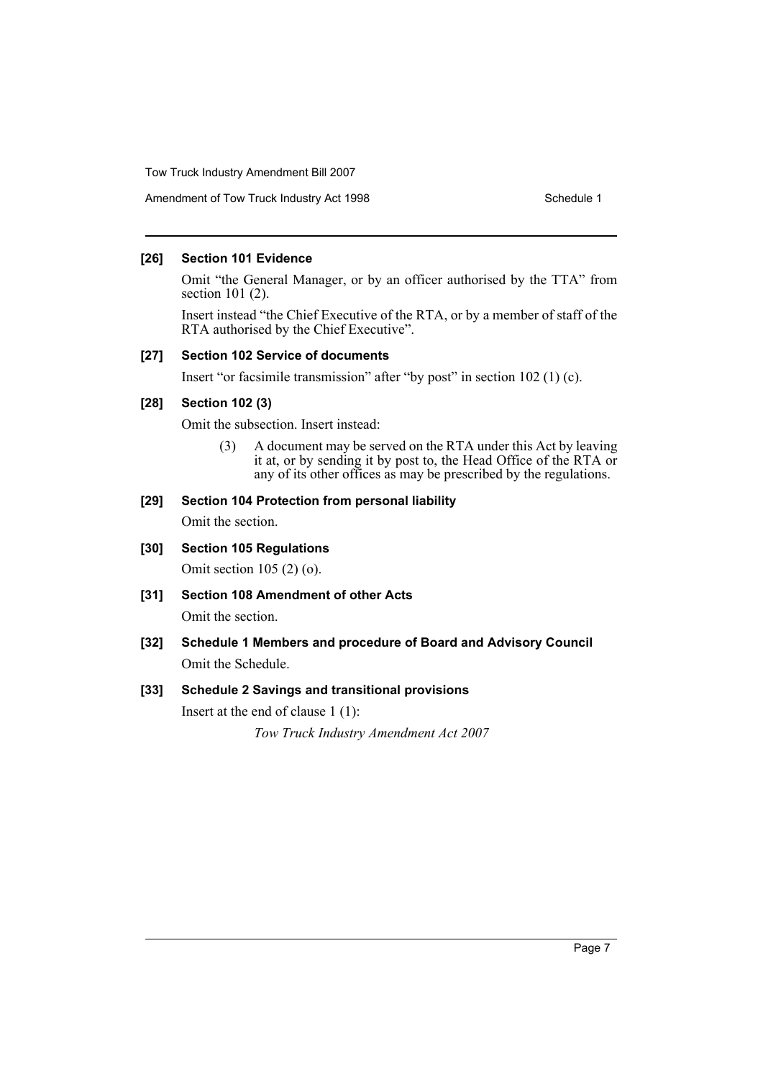# Amendment of Tow Truck Industry Act 1998 Schedule 1

#### **[26] Section 101 Evidence**

Omit "the General Manager, or by an officer authorised by the TTA" from section 101 (2).

Insert instead "the Chief Executive of the RTA, or by a member of staff of the RTA authorised by the Chief Executive".

#### **[27] Section 102 Service of documents**

Insert "or facsimile transmission" after "by post" in section 102 (1) (c).

#### **[28] Section 102 (3)**

Omit the subsection. Insert instead:

(3) A document may be served on the RTA under this Act by leaving it at, or by sending it by post to, the Head Office of the RTA or any of its other offices as may be prescribed by the regulations.

# **[29] Section 104 Protection from personal liability**

Omit the section.

# **[30] Section 105 Regulations**

Omit section 105 (2) (o).

**[31] Section 108 Amendment of other Acts**

Omit the section.

**[32] Schedule 1 Members and procedure of Board and Advisory Council** Omit the Schedule.

## **[33] Schedule 2 Savings and transitional provisions**

Insert at the end of clause 1 (1):

*Tow Truck Industry Amendment Act 2007*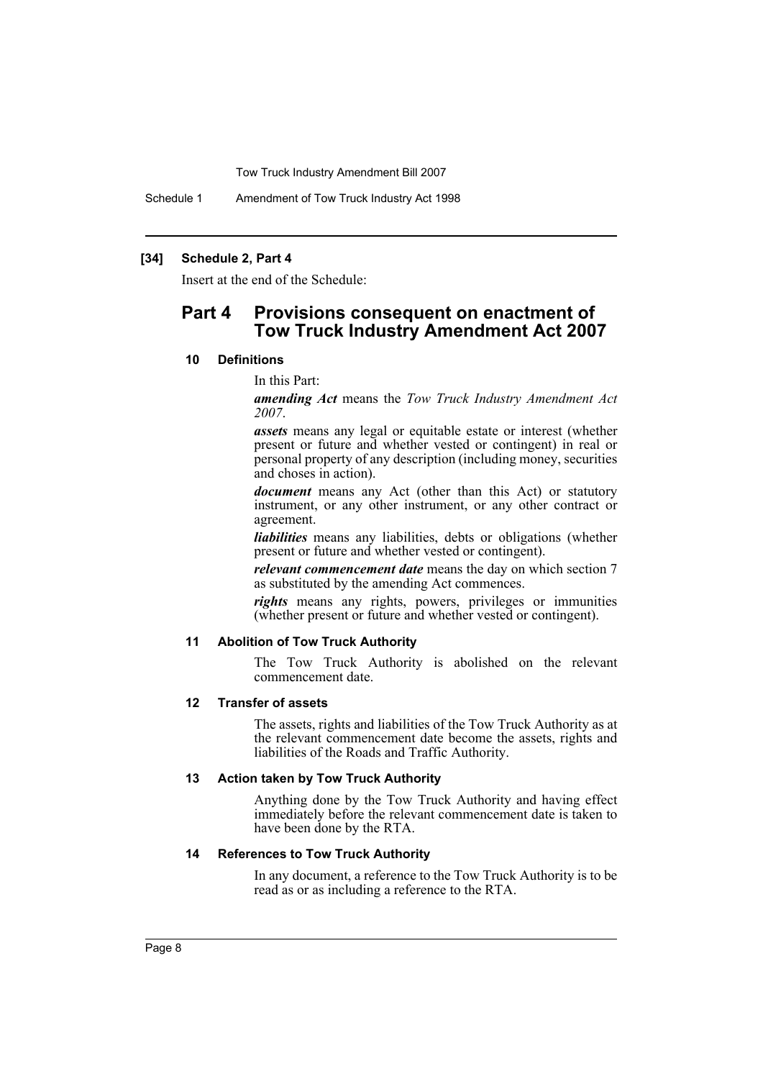Schedule 1 Amendment of Tow Truck Industry Act 1998

#### **[34] Schedule 2, Part 4**

Insert at the end of the Schedule:

# **Part 4 Provisions consequent on enactment of Tow Truck Industry Amendment Act 2007**

#### **10 Definitions**

#### In this Part:

*amending Act* means the *Tow Truck Industry Amendment Act 2007*.

*assets* means any legal or equitable estate or interest (whether present or future and whether vested or contingent) in real or personal property of any description (including money, securities and choses in action).

*document* means any Act (other than this Act) or statutory instrument, or any other instrument, or any other contract or agreement.

*liabilities* means any liabilities, debts or obligations (whether present or future and whether vested or contingent).

*relevant commencement date* means the day on which section 7 as substituted by the amending Act commences.

*rights* means any rights, powers, privileges or immunities (whether present or future and whether vested or contingent).

#### **11 Abolition of Tow Truck Authority**

The Tow Truck Authority is abolished on the relevant commencement date.

#### **12 Transfer of assets**

The assets, rights and liabilities of the Tow Truck Authority as at the relevant commencement date become the assets, rights and liabilities of the Roads and Traffic Authority.

#### **13 Action taken by Tow Truck Authority**

Anything done by the Tow Truck Authority and having effect immediately before the relevant commencement date is taken to have been done by the RTA.

#### **14 References to Tow Truck Authority**

In any document, a reference to the Tow Truck Authority is to be read as or as including a reference to the RTA.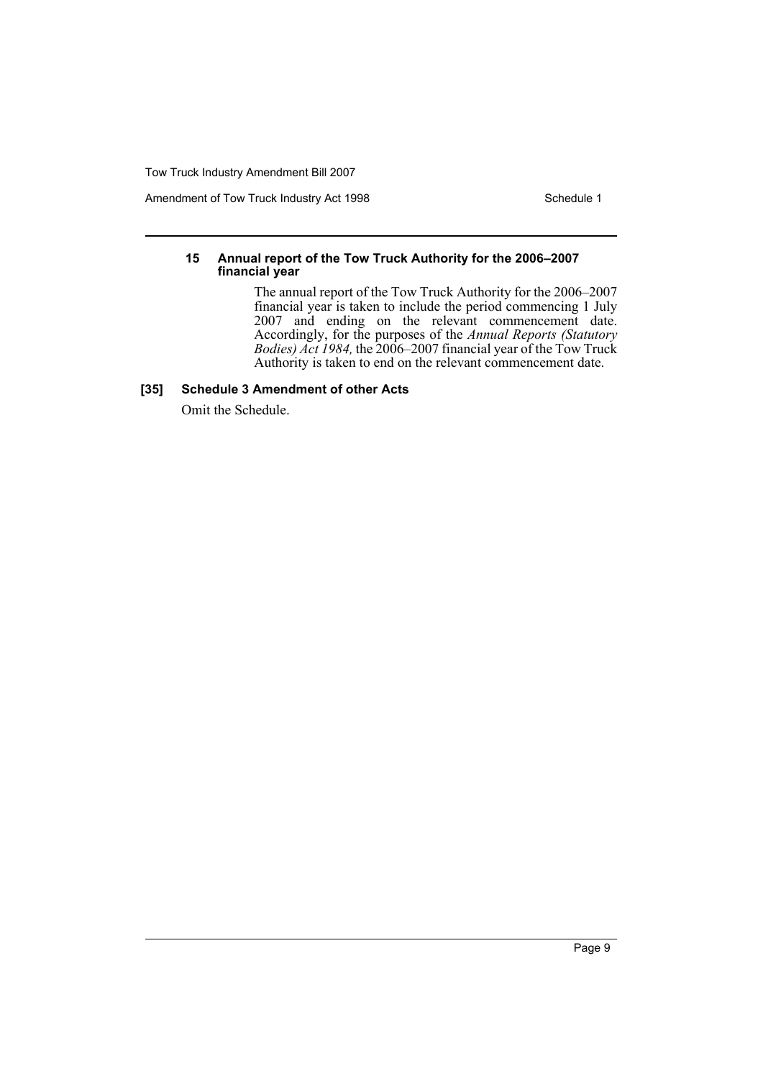Amendment of Tow Truck Industry Act 1998 Schedule 1

#### **15 Annual report of the Tow Truck Authority for the 2006–2007 financial year**

The annual report of the Tow Truck Authority for the 2006–2007 financial year is taken to include the period commencing 1 July 2007 and ending on the relevant commencement date. Accordingly, for the purposes of the *Annual Reports (Statutory Bodies) Act 1984,* the 2006–2007 financial year of the Tow Truck Authority is taken to end on the relevant commencement date.

## **[35] Schedule 3 Amendment of other Acts**

Omit the Schedule.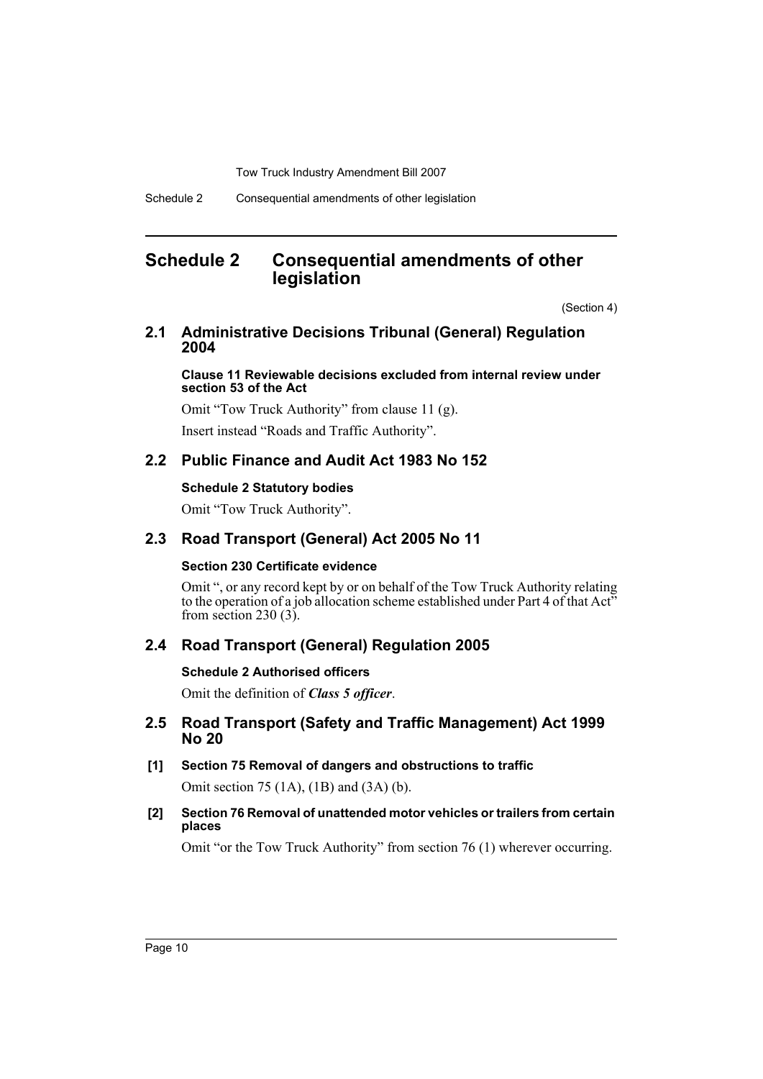# <span id="page-10-0"></span>**Schedule 2 Consequential amendments of other legislation**

(Section 4)

# **2.1 Administrative Decisions Tribunal (General) Regulation 2004**

**Clause 11 Reviewable decisions excluded from internal review under section 53 of the Act**

Omit "Tow Truck Authority" from clause 11 (g). Insert instead "Roads and Traffic Authority".

# **2.2 Public Finance and Audit Act 1983 No 152**

## **Schedule 2 Statutory bodies**

Omit "Tow Truck Authority".

# **2.3 Road Transport (General) Act 2005 No 11**

## **Section 230 Certificate evidence**

Omit ", or any record kept by or on behalf of the Tow Truck Authority relating to the operation of a job allocation scheme established under Part 4 of that Act<sup>35</sup> from section 230 $(3)$ .

# **2.4 Road Transport (General) Regulation 2005**

## **Schedule 2 Authorised officers**

Omit the definition of *Class 5 officer*.

# **2.5 Road Transport (Safety and Traffic Management) Act 1999 No 20**

- **[1] Section 75 Removal of dangers and obstructions to traffic** Omit section 75 (1A), (1B) and (3A) (b).
- **[2] Section 76 Removal of unattended motor vehicles or trailers from certain places**

Omit "or the Tow Truck Authority" from section 76 (1) wherever occurring.